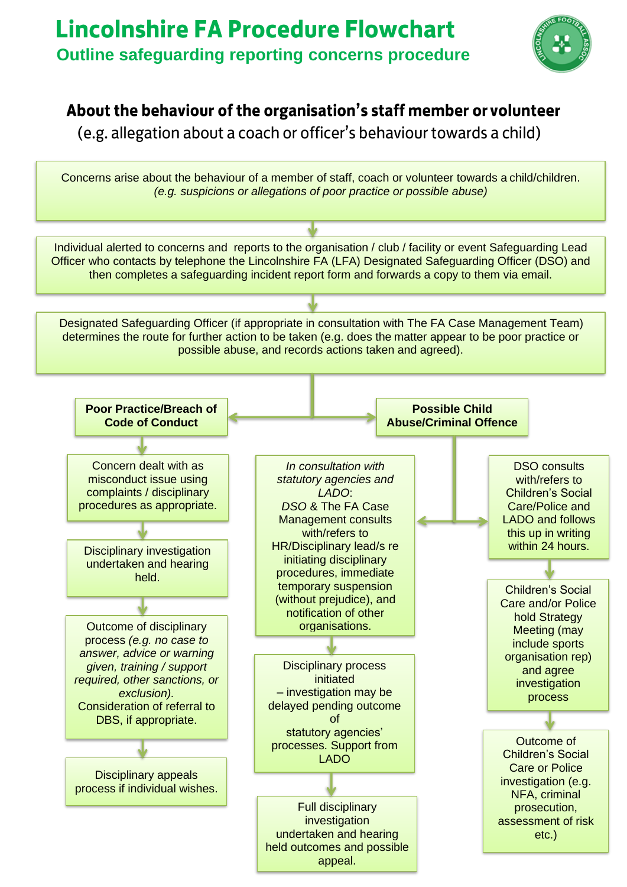

### About the behaviour of the organisation's staff member or volunteer

(e.g. allegation about a coach or officer's behaviour towards a child)

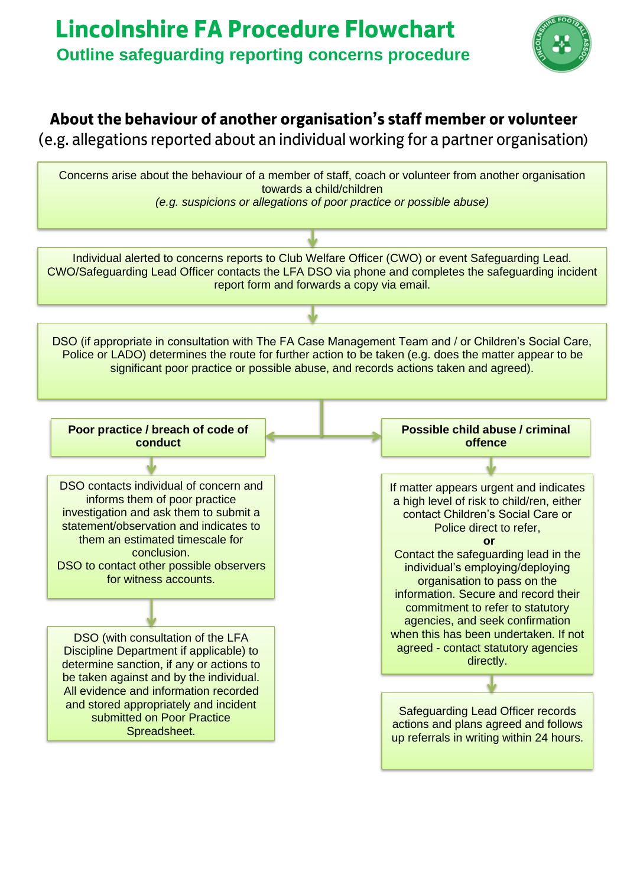## **Lincolnshire FA Procedure Flowchart Outline safeguarding reporting concerns procedure**



### About the behaviour of another organisation's staff member or volunteer

(e.g. allegations reported about an individual working for a partner organisation)

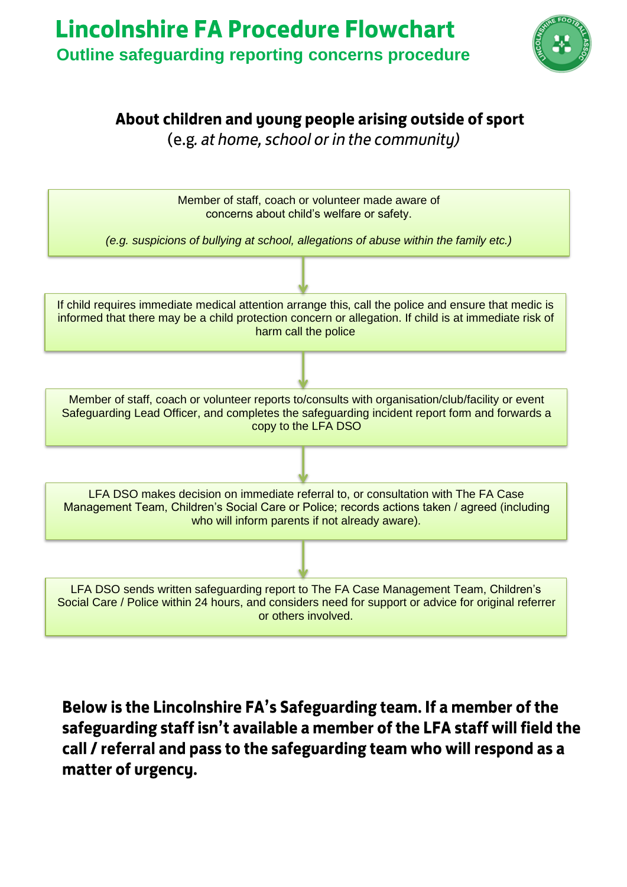

### About children and young people arising outside of sport

(e.g. at home, school or in the community)



Below is the Lincolnshire FA's Safeguarding team. If a member of the safeguarding staff isn't available a member of the LFA staff will field the call / referral and pass to the safeguarding team who will respond as a matter of urgency.